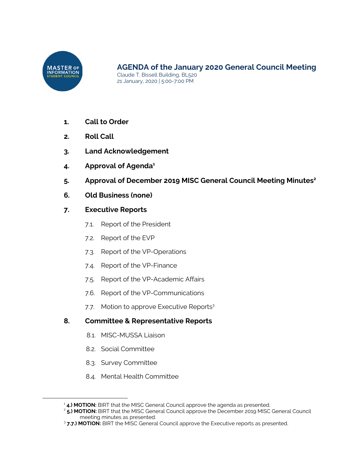

- **1. Call to Order**
- **2. Roll Call**
- **3. Land Acknowledgement**
- **4. Approval of Agenda 1**
- **5. Approval of December 2019 MISC General Council Meeting Minutes 2**
- **6. Old Business (none)**
- **7. Executive Reports**
	- 7.1. Report of the President
	- 7.2. Report of the EVP
	- 7.3. Report of the VP-Operations
	- 7.4. Report of the VP-Finance
	- 7.5. Report of the VP-Academic Affairs
	- 7.6. Report of the VP-Communications
	- 7.7. Motion to approve Executive Reports<sup>3</sup>

# **8. Committee & Representative Reports**

- 8.1. MISC-MUSSA Liaison
- 8.2. Social Committee
- 8.3. Survey Committee
- 8.4. Mental Health Committee

<sup>&</sup>lt;sup>1</sup> 4.) MOTION: BIRT that the MISC General Council approve the agenda as presented.

<sup>2</sup> **5.) MOTION:** BIRT that the MISC General Council approve the December 2019 MISC General Council meeting minutes as presented.

<sup>3</sup> **7.7.) MOTION:** BIRT the MISC General Council approve the Executive reports as presented.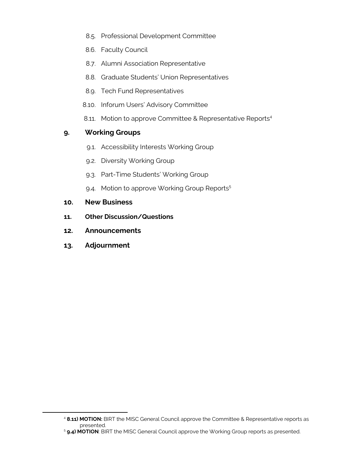- 8.5. Professional Development Committee
- 8.6. Faculty Council
- 8.7. Alumni Association Representative
- 8.8. Graduate Students' Union Representatives
- 8.9. Tech Fund Representatives
- 8.10. Inforum Users' Advisory Committee
- 8.11. Motion to approve Committee & Representative Reports<sup>4</sup>

# **9. Working Groups**

- 9.1. Accessibility Interests Working Group
- 9.2. Diversity Working Group
- 9.3. Part-Time Students' Working Group
- 9.4. Motion to approve Working Group Reports<sup>5</sup>
- **10. New Business**
- **11. Other Discussion/Questions**
- **12. Announcements**
- **13. Adjournment**

<sup>4</sup> **8.11) MOTION:** BIRT the MISC General Council approve the Committee & Representative reports as presented.

<sup>5</sup> **9.4) MOTION**: BIRT the MISC General Council approve the Working Group reports as presented.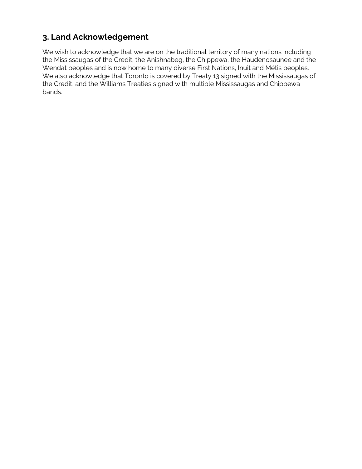# **3. Land Acknowledgement**

We wish to acknowledge that we are on the traditional territory of many nations including the Mississaugas of the Credit, the Anishnabeg, the Chippewa, the Haudenosaunee and the Wendat peoples and is now home to many diverse First Nations, Inuit and Métis peoples. We also acknowledge that Toronto is covered by Treaty 13 signed with the Mississaugas of the Credit, and the Williams Treaties signed with multiple Mississaugas and Chippewa bands.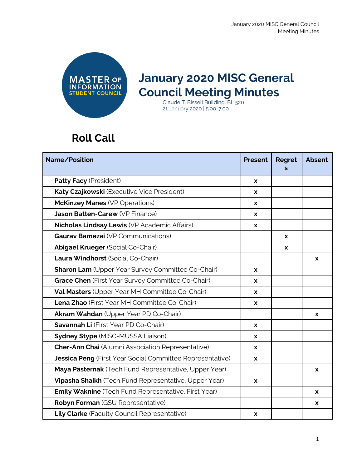

# **January 2020 MISC General Council Meeting Minutes**

Claude T. Bissell Building, BL 520 21 January 2020 | 5:00-7:00

# **Roll Call**

| Name/Position                                               |              | <b>Regret</b> | <b>Absent</b> |
|-------------------------------------------------------------|--------------|---------------|---------------|
| Patty Facy (President)                                      | X            |               |               |
| Katy Czajkowski (Executive Vice President)                  | X            |               |               |
| <b>McKinzey Manes (VP Operations)</b>                       | X            |               |               |
| Jason Batten-Carew (VP Finance)                             | $\mathbf{x}$ |               |               |
| Nicholas Lindsay Lewis (VP Academic Affairs)                | $\mathbf{x}$ |               |               |
| <b>Gauray Bamezai</b> (VP Communications)                   |              | X             |               |
| <b>Abigael Krueger (Social Co-Chair)</b>                    |              | X             |               |
| Laura Windhorst (Social Co-Chair)                           |              |               | X             |
| <b>Sharon Lam</b> (Upper Year Survey Committee Co-Chair)    | X            |               |               |
| Grace Chen (First Year Survey Committee Co-Chair)           | X            |               |               |
| Val Masters (Upper Year MH Committee Co-Chair)              | X            |               |               |
| Lena Zhao (First Year MH Committee Co-Chair)                | X            |               |               |
| Akram Wahdan (Upper Year PD Co-Chair)                       |              |               | X             |
| Savannah Li (First Year PD Co-Chair)                        | $\mathbf{x}$ |               |               |
| <b>Sydney Stype (MISC-MUSSA Liaison)</b>                    |              |               |               |
| <b>Cher-Ann Chai</b> (Alumni Association Representative)    |              |               |               |
| Jessica Peng (First Year Social Committee Representative)   | <b>X</b>     |               |               |
| Maya Pasternak (Tech Fund Representative, Upper Year)       |              |               | X             |
| Vipasha Shaikh (Tech Fund Representative, Upper Year)       | X            |               |               |
| <b>Emily Waknine</b> (Tech Fund Representative, First Year) |              |               | x             |
| Robyn Forman (GSU Representative)                           |              |               | X             |
| Lily Clarke (Faculty Council Representative)                | X            |               |               |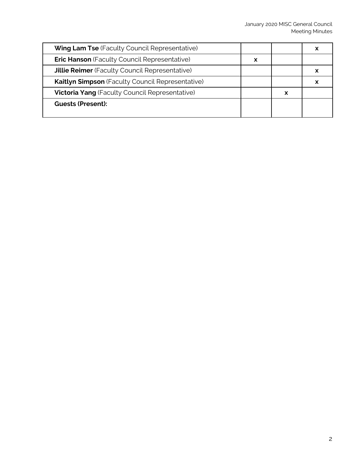| <b>Wing Lam Tse</b> (Faculty Council Representative)    |   |   | х |
|---------------------------------------------------------|---|---|---|
| <b>Eric Hanson</b> (Faculty Council Representative)     | X |   |   |
| <b>Jillie Reimer</b> (Faculty Council Representative)   |   |   |   |
| <b>Kaitlyn Simpson</b> (Faculty Council Representative) |   |   | х |
| <b>Victoria Yang (Faculty Council Representative)</b>   |   | x |   |
| <b>Guests (Present):</b>                                |   |   |   |
|                                                         |   |   |   |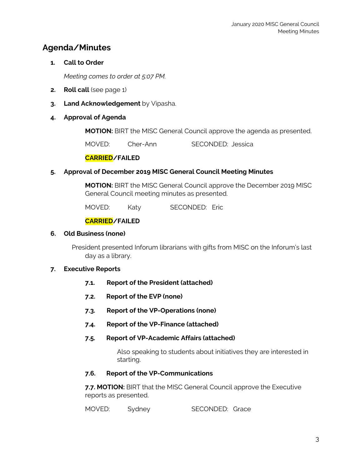# **Agenda/Minutes**

# **1. Call to Order**

*Meeting comes to order at 5:07 PM.*

- **2. Roll call** (see page 1)
- **3. Land Acknowledgement** by Vipasha.

## **4. Approval of Agenda**

**MOTION:** BIRT the MISC General Council approve the agenda as presented.

MOVED: Cher-Ann SECONDED: Jessica

## **CARRIED/FAILED**

#### **5. Approval of December 2019 MISC General Council Meeting Minutes**

**MOTION:** BIRT the MISC General Council approve the December 2019 MISC General Council meeting minutes as presented.

MOVED: Katy SECONDED: Eric

# **CARRIED/FAILED**

#### **6. Old Business (none)**

President presented Inforum librarians with gifts from MISC on the Inforum's last day as a library.

#### **7. Executive Reports**

- **7.1. Report of the President (attached)**
- **7.2. Report of the EVP (none)**
- **7.3. Report of the VP-Operations (none)**
- **7.4. Report of the VP-Finance (attached)**

#### **7.5. Report of VP-Academic Affairs (attached)**

Also speaking to students about initiatives they are interested in starting.

#### **7.6. Report of the VP-Communications**

**7.7. MOTION:** BIRT that the MISC General Council approve the Executive reports as presented.

MOVED: Sydney SECONDED: Grace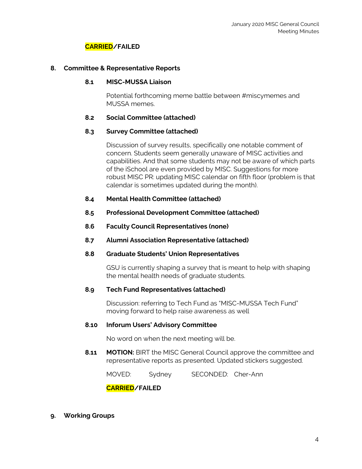### **CARRIED/FAILED**

#### **8. Committee & Representative Reports**

#### **8.1 MISC-MUSSA Liaison**

Potential forthcoming meme battle between #miscymemes and MUSSA memes.

#### **8.2 Social Committee (attached)**

#### **8.3 Survey Committee (attached)**

Discussion of survey results, specifically one notable comment of concern. Students seem generally unaware of MISC activities and capabilities. And that some students may not be aware of which parts of the iSchool are even provided by MISC. Suggestions for more robust MISC PR: updating MISC calendar on fifth floor (problem is that calendar is sometimes updated during the month).

- **8.4 Mental Health Committee (attached)**
- **8.5 Professional Development Committee (attached)**
- **8.6 Faculty Council Representatives (none)**
- **8.7 Alumni Association Representative (attached)**
- **8.8 Graduate Students' Union Representatives**

GSU is currently shaping a survey that is meant to help with shaping the mental health needs of graduate students.

#### **8.9 Tech Fund Representatives (attached)**

Discussion: referring to Tech Fund as "MISC-MUSSA Tech Fund" moving forward to help raise awareness as well

#### **8.10 Inforum Users' Advisory Committee**

No word on when the next meeting will be.

**8.11 MOTION:** BIRT the MISC General Council approve the committee and representative reports as presented. Updated stickers suggested.

MOVED: Sydney SECONDED: Cher-Ann

**CARRIED/FAILED**

**9. Working Groups**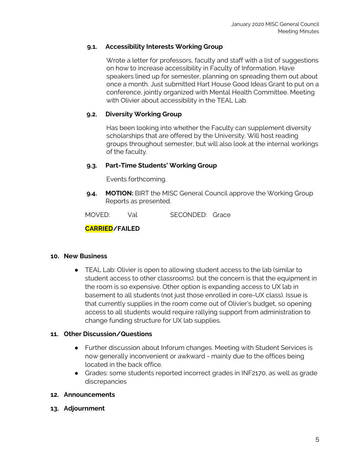## **9.1. Accessibility Interests Working Group**

Wrote a letter for professors, faculty and staff with a list of suggestions on how to increase accessibility in Faculty of Information. Have speakers lined up for semester, planning on spreading them out about once a month. Just submitted Hart House Good Ideas Grant to put on a conference, jointly organized with Mental Health Committee. Meeting with Olivier about accessibility in the TEAL Lab.

### **9.2. Diversity Working Group**

Has been looking into whether the Faculty can supplement diversity scholarships that are offered by the University. Will host reading groups throughout semester, but will also look at the internal workings of the faculty.

## **9.3. Part-Time Students' Working Group**

Events forthcoming.

**9.4. MOTION:** BIRT the MISC General Council approve the Working Group Reports as presented.

MOVED: Val SECONDED: Grace

# **CARRIED/FAILED**

#### **10. New Business**

● TEAL Lab: Olivier is open to allowing student access to the lab (similar to student access to other classrooms), but the concern is that the equipment in the room is so expensive. Other option is expanding access to UX lab in basement to all students (not just those enrolled in core-UX class). Issue is that currently supplies in the room come out of Olivier's budget, so opening access to all students would require rallying support from administration to change funding structure for UX lab supplies.

#### **11. Other Discussion/Questions**

- Further discussion about Inforum changes. Meeting with Student Services is now generally inconvenient or awkward - mainly due to the offices being located in the back office.
- Grades: some students reported incorrect grades in INF2170, as well as grade discrepancies

#### **12. Announcements**

**13. Adjournment**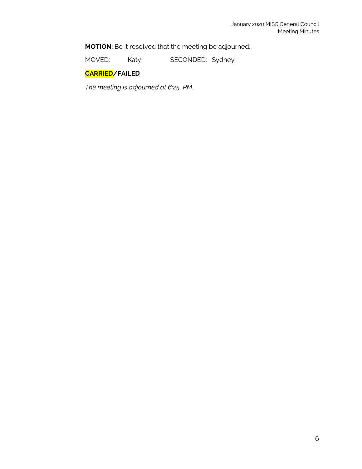**MOTION:** Be it resolved that the meeting be adjourned.

MOVED: Katy SECONDED: Sydney

# **CARRIED/FAILED**

*The meeting is adjourned at 6:25 PM.*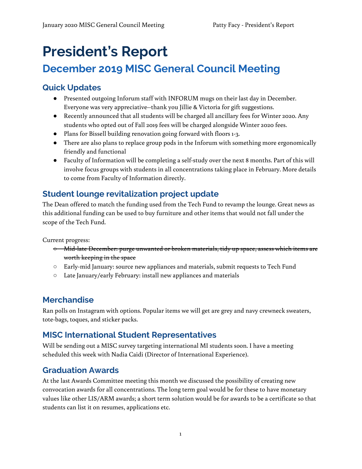# **President's Report**

# **December 2019 MISC General Council Meeting**

# **Quick Updates**

- Presented outgoing Inforum staff with INFORUM mugs on their last day in December. Everyone was very appreciative--thank you Jillie & Victoria for gift suggestions.
- Recently announced that all students will be charged all ancillary fees for Winter 2020. Any students who opted out of Fall 2019 fees will be charged alongside Winter 2020 fees.
- Plans for Bissell building renovation going forward with floors 1-3.
- There are also plans to replace group pods in the Inforum with something more ergonomically friendly and functional
- Faculty of Information will be completing a self-study over the next 8 months. Part of this will involve focus groups with students in all concentrations taking place in February. More details to come from Faculty of Information directly.

# **Student lounge revitalization project update**

The Dean offered to match the funding used from the Tech Fund to revamp the lounge. Great news as this additional funding can be used to buy furniture and other items that would not fall under the scope of the Tech Fund.

Current progress:

- Mid-late December: purge unwanted or broken materials, tidy up space, assess which items are worth keeping in the space
- Early-mid January: source new appliances and materials, submit requests to Tech Fund
- Late January/early February: install new appliances and materials

# **Merchandise**

Ran polls on Instagram with options. Popular items we will get are grey and navy crewneck sweaters, tote-bags, toques, and sticker packs.

# **MISC International Student Representatives**

Will be sending out a MISC survey targeting international MI students soon. I have a meeting scheduled this week with Nadia Caidi (Director of International Experience).

# **Graduation Awards**

At the last Awards Committee meeting this month we discussed the possibility of creating new convocation awards for all concentrations. The long term goal would be for these to have monetary values like other LIS/ARM awards; a short term solution would be for awards to be a certificate so that students can list it on resumes, applications etc.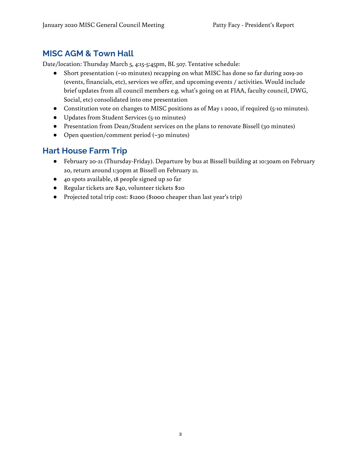# **MISC AGM & Town Hall**

Date/location: Thursday March 5, 4:15-5:45pm, BL 507. Tentative schedule:

- Short presentation (~10 minutes) recapping on what MISC has done so far during 2019-20 (events, financials, etc), services we offer, and upcoming events / activities. Would include brief updates from all council members e.g. what's going on at FIAA, faculty council, DWG, Social, etc) consolidated into one presentation
- Constitution vote on changes to MISC positions as of May 1 2020, if required (5-10 minutes).
- Updates from Student Services (5-10 minutes)
- Presentation from Dean/Student services on the plans to renovate Bissell (30 minutes)
- Open question/comment period (~30 minutes)

# **Hart House Farm Trip**

- February 20-21 (Thursday-Friday). Departure by bus at Bissell building at 10:30am on February 20, return around 1:30pm at Bissell on February 21.
- 40 spots available, 18 people signed up so far
- Regular tickets are \$40, volunteer tickets \$20
- Projected total trip cost: \$1200 (\$1000 cheaper than last year's trip)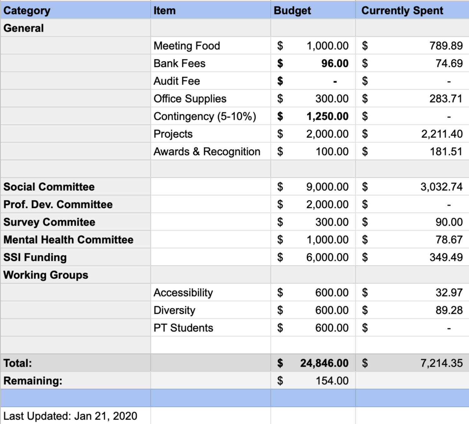| <b>Category</b>                | <b>Item</b>            | <b>Budget</b>        | <b>Currently Spent</b> |
|--------------------------------|------------------------|----------------------|------------------------|
| General                        |                        |                      |                        |
|                                | Meeting Food           | \$<br>1,000.00       | \$<br>789.89           |
|                                | <b>Bank Fees</b>       | \$<br>96.00          | \$<br>74.69            |
|                                | <b>Audit Fee</b>       | \$<br>$\blacksquare$ | \$                     |
|                                | <b>Office Supplies</b> | \$<br>300.00         | \$<br>283.71           |
|                                | Contingency (5-10%)    | \$<br>1,250.00       | \$                     |
|                                | Projects               | \$<br>2,000.00       | \$<br>2,211.40         |
|                                | Awards & Recognition   | \$<br>100.00         | \$<br>181.51           |
|                                |                        |                      |                        |
| <b>Social Committee</b>        |                        | \$<br>9,000.00       | \$<br>3,032.74         |
| <b>Prof. Dev. Committee</b>    |                        | \$<br>2,000.00       | \$                     |
| <b>Survey Commitee</b>         |                        | \$<br>300.00         | \$<br>90.00            |
| <b>Mental Health Committee</b> |                        | \$<br>1,000.00       | \$<br>78.67            |
| <b>SSI Funding</b>             |                        | \$<br>6,000.00       | \$<br>349.49           |
| <b>Working Groups</b>          |                        |                      |                        |
|                                | Accessibility          | \$<br>600.00         | \$<br>32.97            |
|                                | <b>Diversity</b>       | \$<br>600.00         | \$<br>89.28            |
|                                | <b>PT Students</b>     | \$<br>600.00         | \$                     |
|                                |                        |                      |                        |
| Total:                         |                        | \$<br>24,846.00      | \$<br>7,214.35         |
| <b>Remaining:</b>              |                        | \$<br>154.00         |                        |
|                                |                        |                      |                        |
| Last Updated: Jan 21, 2020     |                        |                      |                        |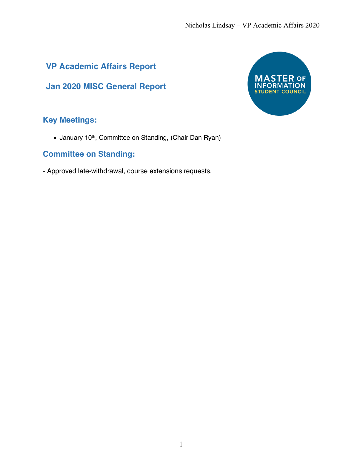# **VP Academic Affairs Report**

**Jan 2020 MISC General Report**

# $OCF$ MA **TON INFORMA STUDENT COUNCIL**

# **Key Meetings:**

• January 10<sup>th</sup>, Committee on Standing, (Chair Dan Ryan)

# **Committee on Standing:**

- Approved late-withdrawal, course extensions requests.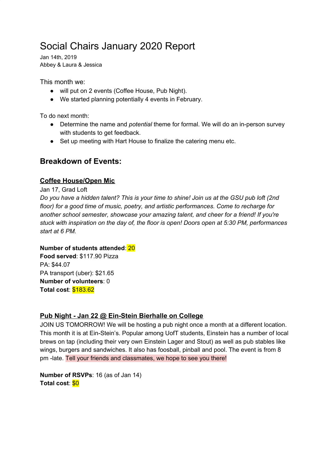# Social Chairs January 2020 Report

Jan 14th, 2019 Abbey & Laura & Jessica

This month we:

- will put on 2 events (Coffee House, Pub Night).
- We started planning potentially 4 events in February.

To do next month:

- Determine the name and *potential* theme for formal. We will do an in-person survey with students to get feedback.
- Set up meeting with Hart House to finalize the catering menu etc.

# **Breakdown of Events:**

# **Coffee House/Open Mic**

Jan 17, Grad Loft

Do you have a hidden talent? This is your time to shine! Join us at the GSU pub loft (2nd *floor) for a good time of music, poetry, and artistic performances. Come to recharge for another school semester, showcase your amazing talent, and cheer for a friend! If you're stuck with inspiration on the day of, the floor is open! Doors open at 5:30 PM, performances start at 6 PM.*

# **Number of students attended**: 20

**Food served**: \$117.90 Pizza PA: \$44.07 PA transport (uber): \$21.65 **Number of volunteers**: 0 **Total cost**: \$183.62

# **Pub Night - Jan 22 @ Ein-Stein Bierhalle on College**

JOIN US TOMORROW! We will be hosting a pub night once a month at a different location. This month it is at Ein-Stein's. Popular among UofT students, Einstein has a number of local brews on tap (including their very own Einstein Lager and Stout) as well as pub stables like wings, burgers and sandwiches. It also has foosball, pinball and pool. The event is from 8 pm -late. Tell your friends and classmates, we hope to see you there!

**Number of RSVPs**: 16 (as of Jan 14) **Total cost**: \$0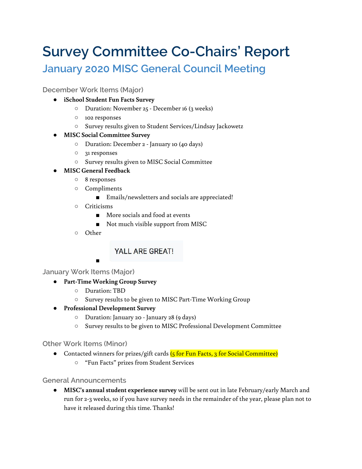# **Survey Committee Co-Chairs' Report**

# **January 2020 MISC General Council Meeting**

# **December Work Items (Major)**

- **● iSchool Student Fun Facts Survey**
	- Duration: November 25 December 16 (3 weeks)
	- 102 responses
	- Survey results given to Student Services/Lindsay Jackowetz
- **● MISC Social Committee Survey**
	- Duration: December 2 January 10 (40 days)
	- 31 responses
	- Survey results given to MISC Social Committee
- **● MISC General Feedback**
	- 8 responses
	- Compliments
		- Emails/newsletters and socials are appreciated!
	- Criticisms
		- More socials and food at events
		- Not much visible support from MISC
	- Other

# YALL ARE GREAT!

■

# **January Work Items (Major)**

- **● Part-Time Working Group Survey**
	- Duration: TBD
	- Survey results to be given to MISC Part-Time Working Group
- **● Professional Development Survey**
	- Duration: January 20 January 28 (9 days)
	- Survey results to be given to MISC Professional Development Committee

# **Other Work Items (Minor)**

- Contacted winners for prizes/gift cards (5 for Fun Facts, 3 for Social Committee)
	- "Fun Facts" prizes from Student Services

# **General Announcements**

● **MISC's annual student experience survey** will be sent out in late February/early March and run for 2-3 weeks, so if you have survey needs in the remainder of the year, please plan not to have it released during this time. Thanks!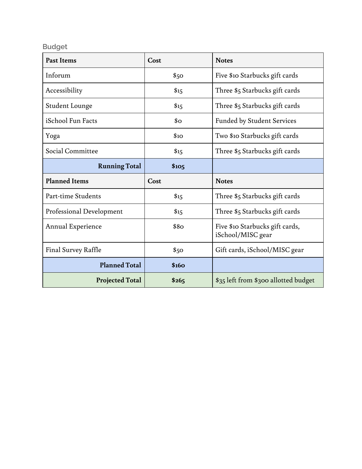# **Budget**

| <b>Past Items</b>          | Cost                 | <b>Notes</b>                                         |
|----------------------------|----------------------|------------------------------------------------------|
| Inforum                    | \$50                 | Five \$10 Starbucks gift cards                       |
| Accessibility              | \$15                 | Three \$5 Starbucks gift cards                       |
| <b>Student Lounge</b>      | \$15                 | Three \$5 Starbucks gift cards                       |
| iSchool Fun Facts          | $\mathbf{5}^{\circ}$ | <b>Funded by Student Services</b>                    |
| Yoga                       | \$10                 | Two \$10 Starbucks gift cards                        |
| Social Committee           | \$15                 | Three \$5 Starbucks gift cards                       |
| <b>Running Total</b>       | \$10 <sub>5</sub>    |                                                      |
|                            |                      |                                                      |
| <b>Planned Items</b>       | Cost                 | <b>Notes</b>                                         |
| Part-time Students         | \$15                 | Three \$5 Starbucks gift cards                       |
| Professional Development   | \$15                 | Three \$5 Starbucks gift cards                       |
| Annual Experience          | \$8 <sub>O</sub>     | Five \$10 Starbucks gift cards,<br>iSchool/MISC gear |
| <b>Final Survey Raffle</b> | \$50                 | Gift cards, iSchool/MISC gear                        |
| <b>Planned Total</b>       | \$160                |                                                      |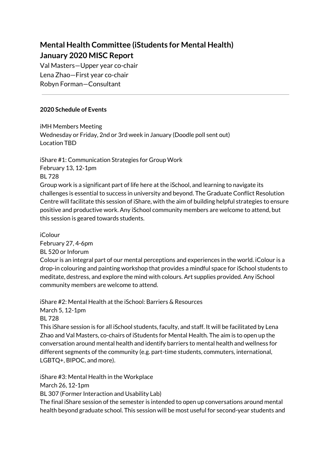# **Mental Health Committee (iStudents for Mental Health) January 2020 MISC Report**

Val Masters—Upper year co-chair Lena Zhao—First year co-chair Robyn Forman—Consultant

# **2020 Schedule of Events**

iMH Members Meeting Wednesday or Friday, 2nd or 3rd week in January (Doodle poll sent out) Location TBD

iShare #1: Communication Strategies for Group Work February 13, 12-1pm BL 728 Group work is a significant part of life here at the iSchool, and learning to navigate its challenges is essential to success in university and beyond. The Graduate Conflict Resolution Centre will facilitate this session of iShare, with the aim of building helpful strategies to ensure positive and productive work. Any iSchool community members are welcome to attend, but

this session is geared towards students.

iColour

February 27, 4-6pm

BL 520 or Inforum

Colour is an integral part of our mental perceptions and experiences in the world. iColour is a drop-in colouring and painting workshop that provides a mindful space for iSchool students to meditate, destress, and explore the mind with colours. Art supplies provided. Any iSchool community members are welcome to attend.

iShare #2: Mental Health at the iSchool: Barriers & Resources March 5, 12-1pm BL 728 This iShare session is for all iSchool students, faculty, and staff. It will be facilitated by Lena Zhao and Val Masters, co-chairs of iStudents for Mental Health. The aim is to open up the conversation around mental health and identify barriers to mental health and wellness for

different segments of the community (e.g. part-time students, commuters, international, LGBTQ+, BIPOC, and more).

iShare #3: Mental Health in the Workplace March 26, 12-1pm BL 307 (Former Interaction and Usability Lab) The final iShare session of the semester is intended to open up conversations around mental health beyond graduate school. This session will be most useful for second-year students and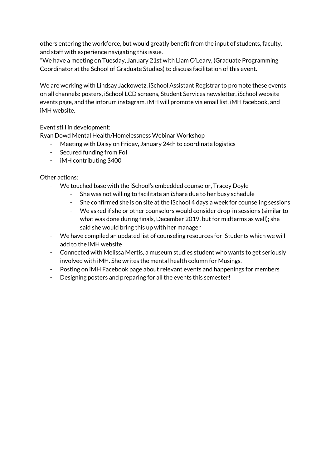others entering the workforce, but would greatly benefit from the input of students, faculty, and staff with experience navigating this issue.

\*We have a meeting on Tuesday, January 21st with Liam O'Leary, (Graduate Programming Coordinator at the School of Graduate Studies) to discuss facilitation of this event.

We are working with Lindsay Jackowetz, iSchool Assistant Registrar to promote these events on all channels: posters, iSchool LCD screens, Student Services newsletter, iSchool website events page, and the inforum instagram. iMH will promote via email list, iMH facebook, and iMH website.

Event still in development:

Ryan Dowd Mental Health/Homelessness Webinar Workshop

- Meeting with Daisy on Friday, January 24th to coordinate logistics
- Secured funding from FoI
- iMH contributing \$400

Other actions:

- We touched base with the iSchool's embedded counselor, Tracey Doyle
	- She was not willing to facilitate an iShare due to her busy schedule
	- She confirmed she is on site at the iSchool 4 days a week for counseling sessions
	- We asked if she or other counselors would consider drop-in sessions (similar to what was done during finals, December 2019, but for midterms as well); she said she would bring this up with her manager
- We have compiled an updated list of counseling resources for iStudents which we will add to the iMH website
- Connected with Melissa Mertis, a museum studies student who wants to get seriously involved with iMH. She writes the mental health column for Musings.
- Posting on iMH Facebook page about relevant events and happenings for members
- Designing posters and preparing for all the events this semester!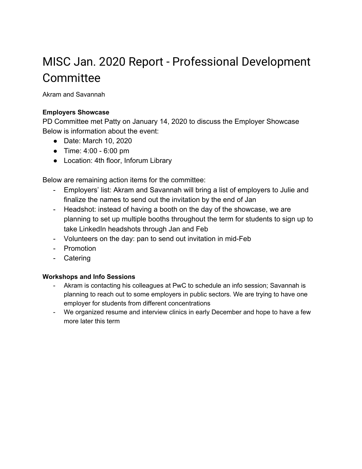# MISC Jan. 2020 Report - Professional Development **Committee**

Akram and Savannah

# **Employers Showcase**

PD Committee met Patty on January 14, 2020 to discuss the Employer Showcase Below is information about the event:

- Date: March 10, 2020
- Time: 4:00 6:00 pm
- Location: 4th floor, Inforum Library

Below are remaining action items for the committee:

- Employers' list: Akram and Savannah will bring a list of employers to Julie and finalize the names to send out the invitation by the end of Jan
- Headshot: instead of having a booth on the day of the showcase, we are planning to set up multiple booths throughout the term for students to sign up to take LinkedIn headshots through Jan and Feb
- Volunteers on the day: pan to send out invitation in mid-Feb
- Promotion
- Catering

# **Workshops and Info Sessions**

- Akram is contacting his colleagues at PwC to schedule an info session; Savannah is planning to reach out to some employers in public sectors. We are trying to have one employer for students from different concentrations
- We organized resume and interview clinics in early December and hope to have a few more later this term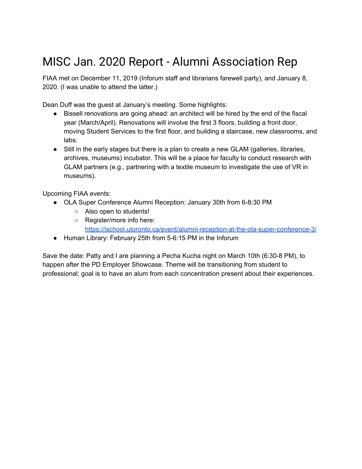# MISC Jan. 2020 Report - Alumni Association Rep

FIAA met on December 11, 2019 (Inforum staff and librarians farewell party), and January 8, 2020. (I was unable to attend the latter.)

Dean Duff was the guest at January's meeting. Some highlights:

- Bissell renovations are going ahead: an architect will be hired by the end of the fiscal year (March/April). Renovations will involve the first 3 floors, building a front door, moving Student Services to the first floor, and building a staircase, new classrooms, and labs.
- Still in the early stages but there is a plan to create a new GLAM (galleries, libraries, archives, museums) incubator. This will be a place for faculty to conduct research with GLAM partners (e.g., partnering with a textile museum to investigate the use of VR in museums).

Upcoming FIAA events:

- OLA Super Conference Alumni Reception: January 30th from 6-8:30 PM
	- Also open to students!
	- Register/more info here: <https://ischool.utoronto.ca/event/alumni-reception-at-the-ola-super-conference-3/>
- Human Library: February 25th from 5-6:15 PM in the Inforum

Save the date: Patty and I are planning a Pecha Kucha night on March 10th (6:30-8 PM), to happen after the PD Employer Showcase. Theme will be transitioning from student to professional; goal is to have an alum from each concentration present about their experiences.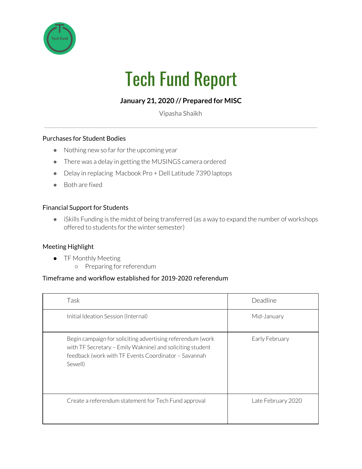

# Tech Fund Report

# **January 21, 2020 // Prepared for MISC**

Vipasha Shaikh

## Purchases for Student Bodies

- Nothing new so far for the upcoming year
- There was a delay in getting the MUSINGS camera ordered
- Delay in replacing Macbook Pro + Dell Latitude 7390 laptops
- Both are fixed

#### Financial Support for Students

● iSkills Funding is the midst of being transferred (as a way to expand the number of workshops offered to students for the winter semester)

#### Meeting Highlight

- TF Monthly Meeting
	- Preparing forreferendum

### Timeframe and workflow established for 2019-2020 referendum

| Task                                                                                                                                                                                       | Deadline           |
|--------------------------------------------------------------------------------------------------------------------------------------------------------------------------------------------|--------------------|
| Initial Ideation Session (Internal)                                                                                                                                                        | Mid-January        |
| Begin campaign for soliciting advertising referendum (work<br>with TF Secretary - Emily Waknine) and soliciting student<br>feedback (work with TF Events Coordinator - Savannah<br>Sewell) | Early February     |
| Create a referendum statement for Tech Fund approval                                                                                                                                       | Late February 2020 |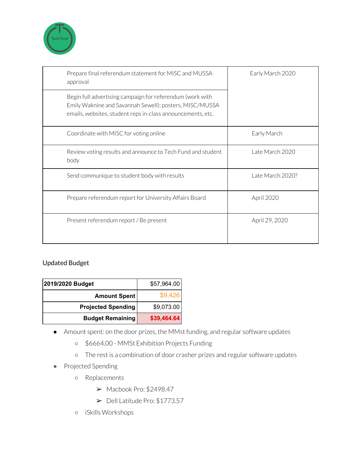

| Prepare final referendum statement for MISC and MUSSA<br>approval                                                                                                                   | Early March 2020 |
|-------------------------------------------------------------------------------------------------------------------------------------------------------------------------------------|------------------|
| Begin full advertising campaign for referendum (work with<br>Emily Waknine and Savannah Sewell): posters, MISC/MUSSA<br>emails, websites, student reps in-class announcements, etc. |                  |
| Coordinate with MISC for voting online                                                                                                                                              | Early March      |
| Review voting results and announce to Tech Fund and student<br>body                                                                                                                 | Late March 2020  |
| Send communique to student body with results                                                                                                                                        | Late March 2020? |
| Prepare referendum report for University Affairs Board                                                                                                                              | April 2020       |
| Present referendum report / Be present                                                                                                                                              | April 29, 2020   |

# Updated Budget

| 2019/2020 Budget          | \$57,964.00 |
|---------------------------|-------------|
| <b>Amount Spent</b>       | \$9,426     |
| <b>Projected Spending</b> | \$9,073.00  |
| <b>Budget Remaining</b>   | \$39,464.64 |

- Amount spent: on the door prizes, the MMst funding, and regular software updates
	- \$6664.00 MMSt Exhibition Projects Funding
	- The rest is a combination of door crasher prizes and regular software updates
- Projected Spending
	- Replacements
		- $\blacktriangleright$  Macbook Pro: \$2498.47
		- ➢ Dell Latitude Pro: \$1773.57
	- iSkills Workshops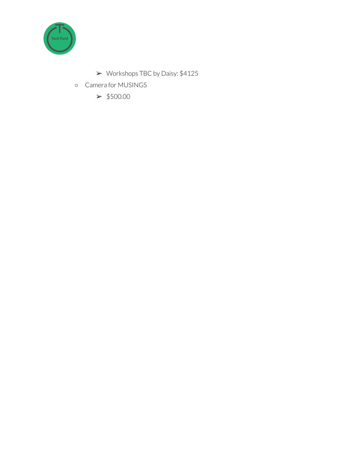

- ➢ Workshops TBC by Daisy: \$4125
- Camera for MUSINGS

 $> $500.00$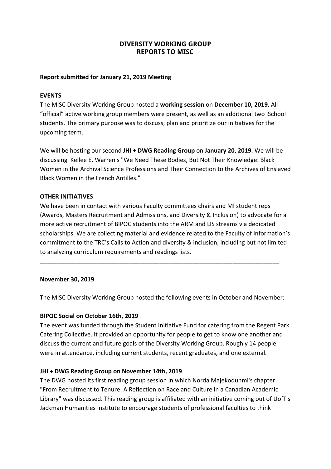# **DIVERSITY WORKING GROUP REPORTS TO MISC**

## **Report submitted for January 21, 2019 Meeting**

### **EVENTS**

The MISC Diversity Working Group hosted a **working session** on **December 10, 2019**. All "official" active working group members were present, as well as an additional two iSchool students. The primary purpose was to discuss, plan and prioritize our initiatives for the upcoming term.

We will be hosting our second **JHI + DWG Reading Group** on **January 20, 2019**. We will be discussing Kellee E. Warren's "We Need These Bodies, But Not Their Knowledge: Black Women in the Archival Science Professions and Their Connection to the Archives of Enslaved Black Women in the French Antilles."

## **OTHER INITIATIVES**

We have been in contact with various Faculty committees chairs and MI student reps (Awards, Masters Recruitment and Admissions, and Diversity & Inclusion) to advocate for a more active recruitment of BIPOC students into the ARM and LIS streams via dedicated scholarships. We are collecting material and evidence related to the Faculty of Information's commitment to the TRC's Calls to Action and diversity & inclusion, including but not limited to analyzing curriculum requirements and readings lists.

#### **November 30, 2019**

The MISC Diversity Working Group hosted the following events in October and November:

**\_\_\_\_\_\_\_\_\_\_\_\_\_\_\_\_\_\_\_\_\_\_\_\_\_\_\_\_\_\_\_\_\_\_\_\_\_\_\_\_\_\_\_\_\_\_\_\_\_\_\_\_\_\_\_\_\_\_\_\_\_\_\_\_\_\_\_\_\_\_\_\_**

#### **BIPOC Social on October 16th, 2019**

The event was funded through the Student Initiative Fund for catering from the Regent Park Catering Collective. It provided an opportunity for people to get to know one another and discuss the current and future goals of the Diversity Working Group. Roughly 14 people were in attendance, including current students, recent graduates, and one external.

#### **JHI + DWG Reading Group on November 14th, 2019**

The DWG hosted its first reading group session in which Norda Majekodunmi's chapter "From Recruitment to Tenure: A Reflection on Race and Culture in a Canadian Academic Library" was discussed. This reading group is affiliated with an initiative coming out of UofT's Jackman Humanities Institute to encourage students of professional faculties to think